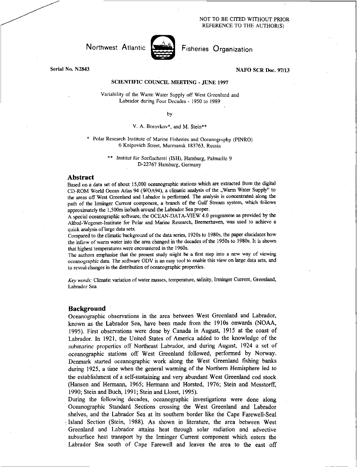#### NOT TO BE CITED WITHOUT PRIOR REFERENCE TO THE AUTHOR(S)

# Northwest Atlantic **Atlantic** Fisheries Organization



# Serial No. N2843 NAFO SCR Doc. 97/13

#### SCIENTIFIC COUNCIL MEETING - JUNE 1997

Variability of the Warm Water Supply off West Greenland and Labrador during Four Decades - 1950 to 1989

by

## V. A. Borovkov\*, and M. Stein\*\*

Polar Research Institute of Marine Fisheries and Oceanography (PINRO) 6 Knipovich Street, Murmansk 183763, Russia

> *Institut für Seefischerei (ISH), Hamburg, Palmaille 9* D-22767 Hamburg, Germany

#### **Abstract**

Based on a data set of about 15,000 oceanographic stations which are extracted from the digital CD-ROM World Ocean Atlas 94 (WOA94), a climatic analysis of the "Warm Water Supply" to the areas off West Greenland and Labador is performed. The analysis is concentrated along the path of the Irminger Current component, a branch of the Gulf Stream system, which follows approximately the 1,500m isobath around the Labrador Sea proper.

A special oceanographic software, the OCEAN-DATA-VIEW 4.0 programme as provided by the Alfred-Wegener-Institute for Polar and Marine Research, Bremerhaven, was used to achieve a quick analysis of large data sets.

Compared to the climatic background of the data series, 1920s to 1980s, the paper elucidates how the inflow of warm water into the area changed in the decades of the 1950s to 1980s. It is shown that highest temperatures were encountered in the 1960s.

The authors emphasise that the present study might be a first step into a new way of viewing oceanographic data. The software ODV is an easy tool to enable this view on large data sets, and to reveal changes in the distribution of oceanographic properties.

*Key words:* Climatic variation of water masses, temperature, salinity, Irminger Current, Greenland, Labrador Sea

#### **Background**

Oceanographic observations in the area between West Greenland and Labrador, known as the Labrador Sea, have been made from the 1910s onwards (NOAA, 1995). First observations were done by Canada in August, 1915 at the coast of Labrador. In 1921, the United States of America added to the knowledge of the submarine properties off Northeast Labrador, and during August, 1924 a set of oceanographic stations off West Greenland followed, performed by Norway. Denmark started oceanographic work along the West Greenland fishing banks during 1925, a time when the general warming of the Northern Hemisphere led to the establishment of a self-sustaining and very abundant West Greenland cod stock (Hansen and Hermann, 1965; Hermann and Horsted, 1976; Stein and Messtorff, 1990; Stein and Buch, 1991; Stein and Lloret, 1995).

During the following decades, oceanographic investigations were done along Oceanographic Standard Sections crossing the West Greenland and Labrador shelves, and the Labrador Sea at its southern border like the Cape Farewell-Seal Island Section (Stein, 1988). As shown in literature, the area between West Greenland and Labrador attains heat through solar radiation and advective subsurface heat transport by the Irminger Current component which enters the Labrador Sea south of Cape Farewell and leaves the area to the east off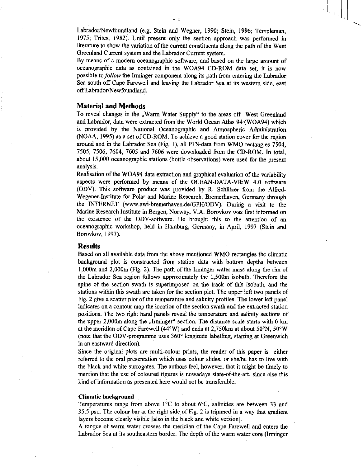$-2-$ 

By means of a modern oceanographic software, and based on the large amount of oceanographic data as contained in the WOA94 CD-ROM data set, it is now possible to *follow* the Irminger component along its path from entering the Labrador Sea south off Cape Farewell and leaving the Labrador Sea at its western side, east off Labrador/Newfoundland.

#### **Material and Methods**

To reveal changes in the "Warm Water Supply" to the areas off West Greenland and Labrador, data were extracted from the World Ocean Atlas 94 (WOA94) which is provided by the National Oceanographic and Atmospheric Administration (NOAA, 1995) as a set of CD-ROM. To achieve a good station cover for the region around and in the Labrador Sea (Fig. 1), all PTS-data from WMO rectangles 7504, 7505, 7506, 7604, 7605 and 7606 were downloaded from the CD-ROM. In total, about 15,000 oceanographic stations (bottle observations) were used for the present analysis.

Realisation of the WOA94 data extraction and graphical evaluation of the variability aspects were performed by means of the OCEAN-DATA-VIEW 4.0 software (ODV). This software product was provided by R. Schlitzer from the Alfred-Wegener-Institute for Polar and Marine Research, Bremerhaven, Germany through the INTERNET (www.awi-bremerhaven.de/GPH/ODV). During a visit to the Marine Research Institute in Bergen, Norway, V.A. Borovkov was first informed on the existence of the ODV-software. He brought this to the attention of an oceanographic workshop, held in Hamburg, Germany, in April, 1997 (Stein and Borovkov, 1997).

# **Results**

Based on all available data from the above mentioned WMO rectangles the climatic background plot is constructed from station data with bottom depths between 1,000m and 2,000m (Fig. 2). The path of the Irminger water mass along the rim of the Labrador Sea region follows approximately the 1,500m isobath. Therefore the spine of the section swath is superimposed on the track of this isobath, and the stations within this swath are taken for the section plot. The upper left two panels of Fig. 2 give a scatter plot of the temperature and salinity profiles. The lower left panel indicates on a contour map the location of the section swath and the extracted station positions. The two right hand panels reveal the temperature and salinity sections of the upper  $2,000$ m along the "Irminger" section. The distance scale starts with 0 km at the meridian of Cape Farewell (44°W) and ends at 2,750km at about 50°N, 50°W (note that the ODV-programme uses 360° longitude labelling, starting at Greenwich in an eastward direction).

Since the original plots are multi-colour prints, the reader of this paper is either referred to the oral presentation which uses colour slides, or she/he has to live with the black and white surrogates. The authors feel, however, that it might be timely to mention that the use of coloured figures is nowadays state-of-the-art, since else this kind of information as presented here would not be transferable.

#### **Climatic background**

Temperatures range from above 1°C to about 6°C, salinities are between 33 and 35.5 psu. The colour bar at the right side of Fig. 2 is trimmed in a way that gradient layers become clearly visible [also in the black and white version].

A tongue of warm water crosses the meridian of the Cape Farewell and enters the Labrador Sea at its southeastern border. The depth of the warm water core (Irminger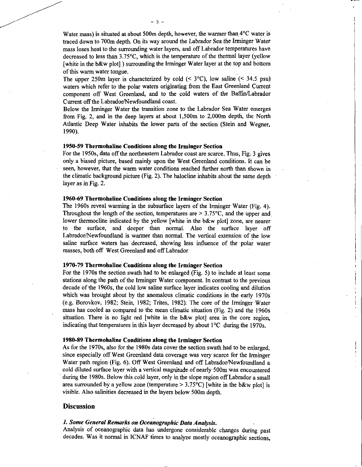Water mass) is situated at about 500m depth, however, the warmer than 4°C water is traced down to 700m depth. On its way around the Labrador Sea the *Irminger Water*  mass loses heat to the surrounding water layers, and off Labrador temperatures have decreased to less than 3.75°C, which is the temperature of the thermal layer (yellow [white in the b&w plot] ) surrounding the Irminger Water layer at the top and bottom of this warm water tongue.

The upper 250m layer is characterized by cold  $($   $\leq$  3 $\degree$ C $)$ , low saline  $($   $\leq$  34.5 psu) waters which refer to the polar waters originating from the East Greenland Current component off West Greenland, and to the cold waters of the Baffin/Labrador Current off the Labrador/Newfoundland coast.

Below the Irminger Water the transition zone to the Labrador Sea Water emerges from Fig. 2, and in the deep layers at about 1,500m to 2,000m depth, the North Atlantic Deep Water inhabits the lower parts of the section (Stein and Wegner, 1990).

#### **1950-59 Thermohaline Conditions along the Irminger Section**

For the 1950s, data off the northeastern Labrador coast are scarce. Thus, Fig. 3 gives only a biased picture, based mainly upon the West Greenland conditions. It can be seen, however, that the warm water conditions reached further north than shown in the climatic background picture (Fig. 2). The halocline inhabits about the same depth layer as in Fig. 2.

# **1960-69 Thermohaline Conditions along the Irminger Section**

The 1960s reveal warming in the subsurface layers of the Irminger Water (Fig. 4). Throughout the length of the section, temperatures are  $> 3.75$ °C, and the upper and lower thermocline indicated by the yellow [white in the b&w plot] zone, are nearer to the surface, and deeper than normal. Also the surface layer off Labrador/Newfoundland is warmer than normal. The vertical extension of the low saline surface waters has decreased, showing less influence of the polar water masses, both off West Greenland and off Labrador

# **1970-79 Thermohaline Conditions along the Irminger Section**

For the 1970s the section swath had to be enlarged (Fig. 5) to include at least some stations along the path of the Irminger Water component. In contrast to the previous decade of the 1960s, the cold low saline surface layer indicates cooling and dilution which was brought about by the anomalous climatic conditions in the early 1970s (e.g. Borovkov, 1982; Stein, 1982; Trites, 1982). The core of the Irminger Water mass has cooled as compared to the mean climatic situation (Fig. 2) and the 1960s situation. There is no light red [white in the  $b\&w$  plot] area in the core region, indicating that temperatures in this layer decreased by about 1°C during the 1970s.

#### **1980-89 Thermohaline Conditions along the Irminger Section**

As for the 1970s, also for the 1980s data cover the section swath had to be enlarged, since especially off West Greenland data coverage was very scarce for the Irminger Water path region (Fig. 6). Off West Greenland and off Labrador/Newfoundland a cold diluted surface layer with a vertical magnitude of nearly 500m was encountered during the 1980s. Below this cold layer, only in the slope region off Labrador a small area surrounded by a yellow zone (temperature  $> 3.75^{\circ}$ C) [white in the b&w plot] is visible. Also salinities decreased in the layers below 500m depth.

#### **Discussion**

## *1. Some General Remarks on Oceanographic Data Analysis.*

Analysis of oceanographic data has undergone considerable changes during past decades. Was it normal in ICNAF times to analyze mostly oceanographic sections,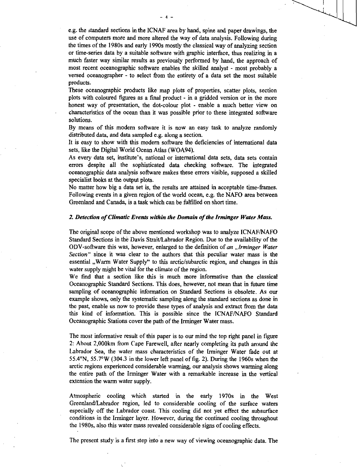e.g. the standard sections in the ICNAF area by hand, spine and paper drawings, the use of computers more and more altered the way of data analysis. Following during the times of the 1980s and early 1990s mostly the classical way of analyzing section or time-series data by a suitable software with graphic interface, thus realizing in a much faster way similar results as previously performed by hand, the approach of most recent oceanographic software enables the skilled analyst - most probably a versed oceanographer - to select from the entirety of a data set the most suitable products.

These oceanographic products like map plots of properties, scatter plots, section plots with coloured figures as a fmal product - in a gridded version or in the more honest way of presentation, the dot-colour plot - enable a much better view on characteristics of the ocean than it was possible prior to these integrated software solutions.

By means of this modem software it is now an easy task to analyze randomly distributed data, and data sampled e.g. along a section.

It is easy to show with this modem software the deficiencies of international data sets, like the Digital World Ocean Atlas (WOA94).

As every data set, institute's, national or international data sets, data sets contain errors despite all the sophisticated data checking software. The integrated oceanographic data analysis software makes these errors visible, supposed a skilled specialist looks at the output plots.

No matter how big a data set is, the results are attained in acceptable time-frames. Following events in a given region of the world ocean, e.g. the NAFO area between Greenland and Canada, is a task which can be fulfilled on short time.

#### *2. Detection of Climatic Events within the Domain of the Irminger Water Mass.*

The original scope of the above mentioned workshop was to analyze ICNAF/NAFO Standard Sections in the Davis Strait/Labrador Region. Due to the availability of the ODV-software this was, however, enlarged to the defmition of *an "Irminger Water Section"* since it was clear to the authors that this peculiar water mass is the essential , Warm Water Supply" to this arctic/subarctic region, and changes in this water supply might be vital for the climate of the region.

We find that a section like this is much more informative than the classical Oceanographic Standard Sections. This does, however, not mean that in future time sampling of oceanographic information on Standard Sections is obsolete. As our example shows, only the systematic sampling along the standard sections as done in the past, enable us now to provide these types of analysis and extract from the data this kind of information. This is possible since the ICNAF/NAFO Standard Oceanographic Stations cover the path of the Irminger Water mass.

The most informative result of this paper is to our mind the top right panel in figure 2: About 2,000km from Cape Farewell, after nearly completing its path around the Labrador Sea, the water mass characteristics of the Irminger Water fade out at 55.4°N, 55.7°W (304.3 in the lower left panel of fig. 2). During the 1960s when the arctic regions experienced considerable warming, our analysis shows warming along the entire path of the Irminger Water with a remarkable increase in the vertical extension the warm water supply.

Atmospheric cooling which started in the early 1970s in the West Greenland/Labrador region, led to considerable cooling of the surface waters especially off the Labrador coast. This cooling did not yet effect the subsurface conditions in the Irminger layer. However, during the continued cooling throughout the 1980s, also this water mass revealed considerable signs of cooling effects.

The present study is a first step into a new way of viewing oceanographic data. The

A.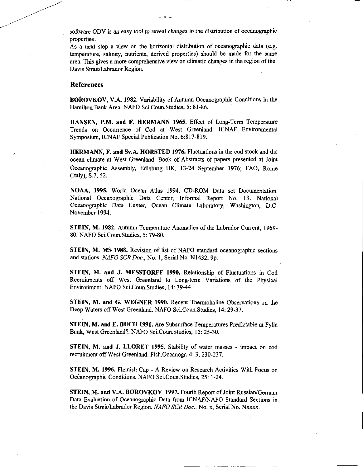software ODV is *an easy* tool to reveal changes in the distribution of oceanographic properties.

 $\overline{5}$ 

As a next step a view on the horizontal distribution of oceanographic data (e.g. temperature, salinity, nutrients, derived properties) should be made for the same area. This gives a more comprehensive view on climatic changes in the region of the Davis Strait/Labrador Region.

# References

**BOROVKOV, V.A. 1982.** Variability of Autumn Oceanographic Conditions in the Hamilton Bank Area. NAFO Sci.Coun.Studies, 5: 81-86.

**HANSEN, P.M. and F. HERMANN 1965.** Effect of Long-Term Temperature Trends on Occurrence of Cod at West Greenland. ICNAF Environmental Symposium, ICNAF Special Publication No. 6:817-819.

**HERMANN, F. and Sv.A. HORSTED 1976.** Fluctuations in the cod stock and the ocean climate at West Greenland. Book of Abstracts of papers presented at Joint Oceanographic Assembly, Edinburg UK, 13-24 September 1976; FAO, Rome (Italy); S.7, 52.

**NOAA, 1995.** World Ocean Atlas 1994. CD-ROM Data set Documentation. National Oceanographic Data Center, Informal Report No. 13. National *Oceanographic* Data Center, Ocean Climate Laboratory, Washington, D.C. November 1994.

**STEIN, M. 1982.** Autumn Temperature Anomalies of the Labrador Current, 1969- 80. NAFO Sci.Coun.Studies, 5: 79-80.

**STEIN, M. MS 1988.** Revision of list of NAFO standard oceanographic sections and stations. *NAFO SCR Doc.,* No. 1, Serial No. N1432, 9p.

**STEIN, M. and J. MESSTORFF 1990.** Relationship of Fluctuations in Cod Recruitments off West Greenland to Long-term Variations of the Physical Environment. NAFO Sci.Coun.Studies, 14: 39-44.

**STEIN, M. and G. WEGNER 1990.** Recent Thermohaline Observations on the Deep Waters off West Greenland. NAFO Sci.Coun.Studies, 14: 29-37.

**STEIN, M. and E. BUCK 1991.** Are Subsurface Temperatures Predictable at Fylla Bank, West Greenland?. NAFO Sci.Coun.Studies, 15: 25-30.

**STEIN, M. and J. LLORET 1995.** Stability of water masses - impact on cod recruitment off West Greenland. Fish.Oceanogr. 4: 3, 230-237.

**STEIN, M. 1996.** Flemish Cap - A Review on Research Activities With Focus on Oceanographic Conditions. NAFO Sci.Coun.Studies, 25: 1-24.

**STEIN, M. and V.A. BOROVKOV 1997.** Fourth Report of Joint Russian/German Data Evaluation of Oceanographic Data from ICNAF/NAFO Standard Sections in the Davis Strait/Labrador Region. *NAFO SCR Doc.,* No. x, Serial No. Nxxxx.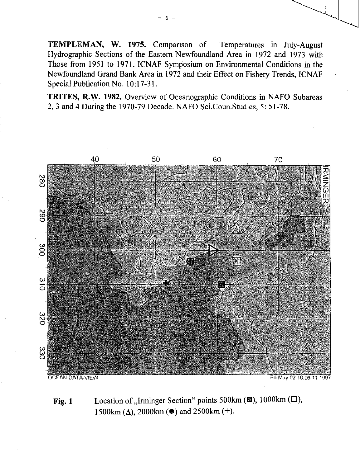**TEMPLEMAN, W. 1975.** Comparison of Temperatures in July-August Hydrographic Sections of the Eastern Newfoundland Area in 1972 and 1973 with Those from 1951 to 1971. ICNAF Symposium on Environmental Conditions in the Newfoundland Grand Bank Area in 1972 and their Effect on Fishery Trends, ICNAF Special Publication No. 10:17-31.

**TRITES, R.W. 1982.** Overview of Oceanographic Conditions in NAFO Subareas 2, 3 and 4 During the 1970-79 Decade. NAFO Sci.Coun.Studies, 5: 51-78.



**Fig. 1** Location of "Irminger Section" points 500km (■), 1000km (□), 1500 $km$  ( $\Delta$ ), 2000 $km$  ( $\bullet$ ) and 2500 $km$  ( $+$ ).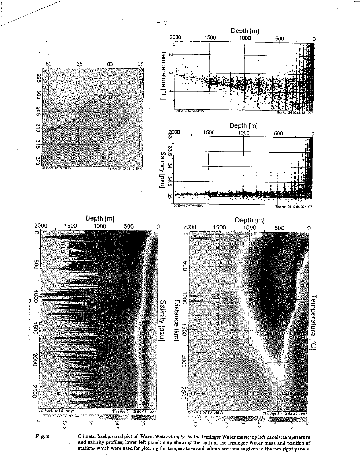





hu Apr 24 10:54:00 1997



یں<br>آن

**CEAN-DATA-V** 



Climatic background plot of "Warm Water Supply" by the Irminger Water mass; top left panels: temperature and salinity profiles; lower left panel: map showing the path of the Irminger Water mass and position of stations which were used for plotting the temperature and salinty sections as given in the two right panels.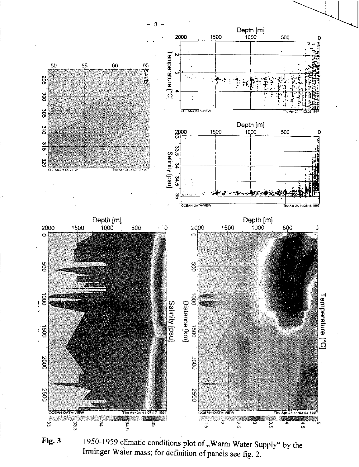

Fig. 3

1950-1959 climatic conditions plot of "Warm Water Supply" by the Irminger Water mass; for definition of panels see fig. 2.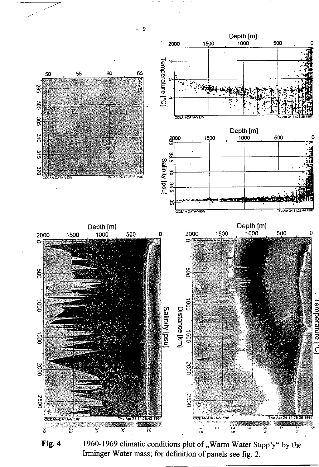

1960-1969 climatic conditions plot of "Warm Water Supply" by the Fig. 4 Irminger Water mass; for definition of panels see fig. 2.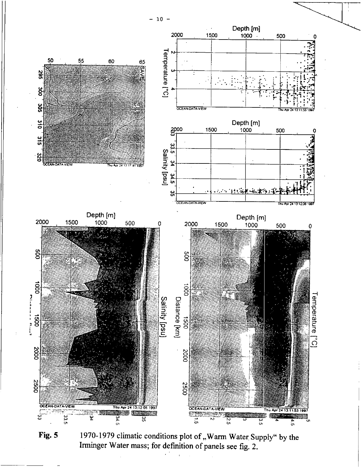

1970-1979 climatic conditions plot of "Warm Water Supply" by the Fig. 5 Irminger Water mass; for definition of panels see fig. 2.